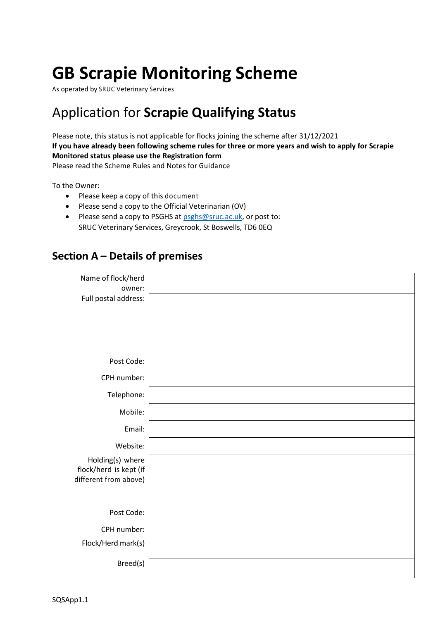# **GB Scrapie Monitoring Scheme**

As operated by SRUC Veterinary Services

## Application for **Scrapie Qualifying Status**

Please note, this status is not applicable for flocks joining the scheme after 31/12/2021 **If you have already been following scheme rules for three or more years and wish to apply for Scrapie Monitored status please use the Registration form**

Please read the Scheme Rules and Notes for Guidance

To the Owner:

- Please keep a copy of this document
- Please send a copy to the Official Veterinarian (OV)
- Please send a copy to PSGHS at [psghs@sruc.ac.uk,](mailto:psghs@sruc.ac.uk) or post to: SRUC Veterinary Services, Greycrook, St Boswells, TD6 0EQ

#### **Section A – Details of premises**

| Name of flock/herd<br>owner:               |  |
|--------------------------------------------|--|
| Full postal address:                       |  |
|                                            |  |
|                                            |  |
| Post Code:                                 |  |
| CPH number:                                |  |
| Telephone:                                 |  |
| Mobile:                                    |  |
| Email:                                     |  |
| Website:                                   |  |
| Holding(s) where<br>flock/herd is kept (if |  |
| different from above)                      |  |
|                                            |  |
| Post Code:                                 |  |
| CPH number:                                |  |
| Flock/Herd mark(s)                         |  |
| Breed(s)                                   |  |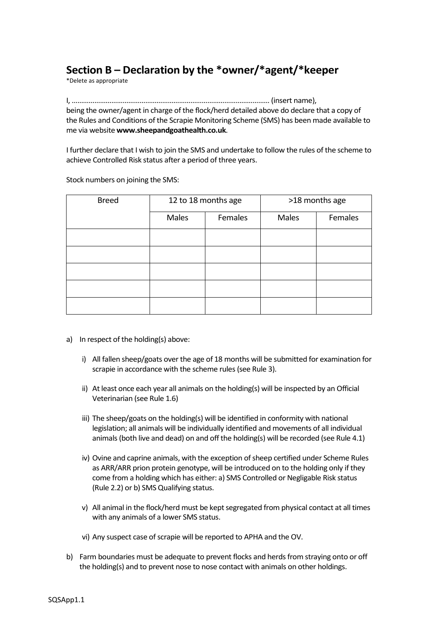### **Section B – Declaration by the \*owner/\*agent/\*keeper**

\*Delete as appropriate

I, …………………………………………………………………………………………… (insert name), being the owner/agent in charge of the flock/herd detailed above do declare that a copy of the Rules and Conditions of the Scrapie Monitoring Scheme (SMS) has been made available to me via website **www.sheepandgoathealth.co.uk**.

I further declare that I wish to join the SMS and undertake to follow the rules of the scheme to achieve Controlled Risk status after a period of three years.

| <b>Breed</b> | 12 to 18 months age |         |       | >18 months age |
|--------------|---------------------|---------|-------|----------------|
|              | Males               | Females | Males | Females        |
|              |                     |         |       |                |
|              |                     |         |       |                |
|              |                     |         |       |                |
|              |                     |         |       |                |
|              |                     |         |       |                |

Stock numbers on joining the SMS:

- a) In respect of the holding(s) above:
	- i) All fallen sheep/goats over the age of 18 months will be submitted for examination for scrapie in accordance with the scheme rules (see Rule 3).
	- ii) At least once each year all animals on the holding(s) will be inspected by an Official Veterinarian (see Rule 1.6)
	- iii) The sheep/goats on the holding(s) will be identified in conformity with national legislation; all animals will be individually identified and movements of all individual animals (both live and dead) on and off the holding(s) will be recorded (see Rule 4.1)
	- iv) Ovine and caprine animals, with the exception of sheep certified under Scheme Rules as ARR/ARR prion protein genotype, will be introduced on to the holding only if they come from a holding which has either: a) SMS Controlled or Negligable Risk status (Rule 2.2) or b) SMS Qualifying status.
	- v) All animal in the flock/herd must be kept segregated from physical contact at all times with any animals of a lower SMS status.
	- vi) Any suspect case of scrapie will be reported to APHA and the OV.
- b) Farm boundaries must be adequate to prevent flocks and herds from straying onto or off the holding(s) and to prevent nose to nose contact with animals on other holdings.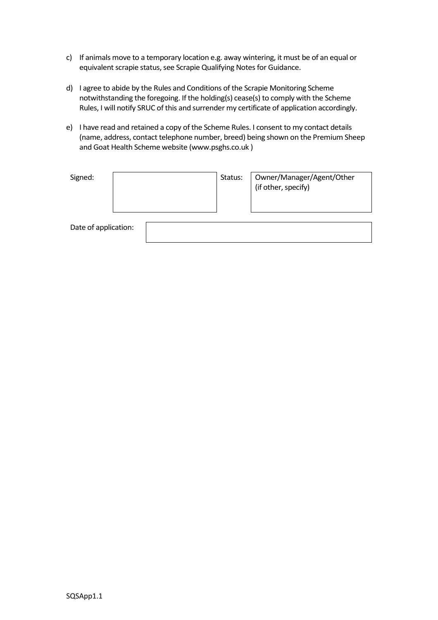- c) If animals move to a temporary location e.g. away wintering, it must be of an equal or equivalent scrapie status, see Scrapie Qualifying Notes for Guidance.
- d) I agree to abide by the Rules and Conditions of the Scrapie Monitoring Scheme notwithstanding the foregoing. If the holding(s) cease(s) to comply with the Scheme Rules, I will notify SRUC of this and surrender my certificate of application accordingly.
- e) I have read and retained a copy of the Scheme Rules. I consent to my contact details (name, address, contact telephone number, breed) being shown on the Premium Sheep and Goat Health Scheme website (www.psghs.co.uk )

| Signed:              |  | Status: | Owner/Manager/Agent/Other<br>(if other, specify) |
|----------------------|--|---------|--------------------------------------------------|
| Date of application: |  |         |                                                  |